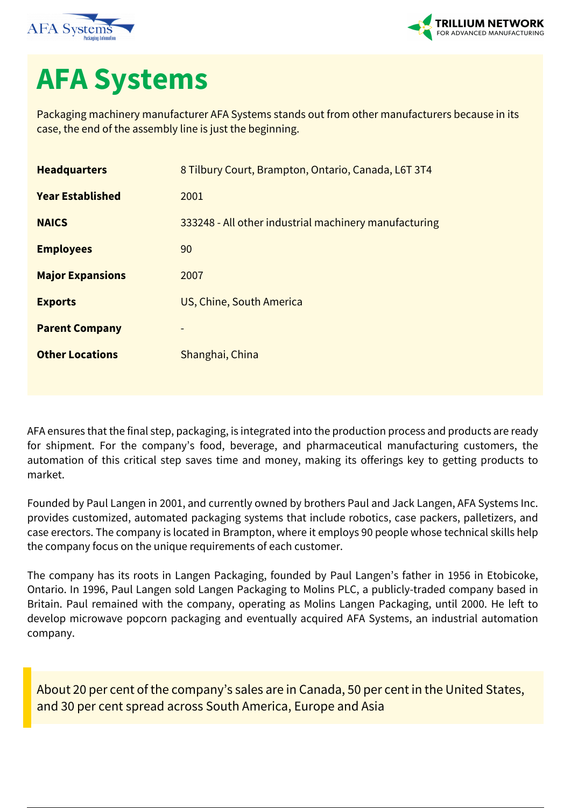



## **AFA Systems**

Packaging machinery manufacturer AFA Systems stands out from other manufacturers because in its case, the end of the assembly line is just the beginning.

| <b>Headquarters</b>     | 8 Tilbury Court, Brampton, Ontario, Canada, L6T 3T4   |
|-------------------------|-------------------------------------------------------|
| <b>Year Established</b> | 2001                                                  |
| <b>NAICS</b>            | 333248 - All other industrial machinery manufacturing |
| <b>Employees</b>        | 90                                                    |
| <b>Major Expansions</b> | 2007                                                  |
| <b>Exports</b>          | US, Chine, South America                              |
| <b>Parent Company</b>   |                                                       |
| <b>Other Locations</b>  | Shanghai, China                                       |

AFA ensures that the final step, packaging, is integrated into the production process and products are ready for shipment. For the company's food, beverage, and pharmaceutical manufacturing customers, the automation of this critical step saves time and money, making its offerings key to getting products to market.

Founded by Paul Langen in 2001, and currently owned by brothers Paul and Jack Langen, AFA Systems Inc. provides customized, automated packaging systems that include robotics, case packers, palletizers, and case erectors. The company is located in Brampton, where it employs 90 people whose technical skills help the company focus on the unique requirements of each customer.

The company has its roots in Langen Packaging, founded by Paul Langen's father in 1956 in Etobicoke, Ontario. In 1996, Paul Langen sold Langen Packaging to Molins PLC, a publicly-traded company based in Britain. Paul remained with the company, operating as Molins Langen Packaging, until 2000. He left to develop microwave popcorn packaging and eventually acquired AFA Systems, an industrial automation company.

About 20 per cent of the company's sales are in Canada, 50 per cent in the United States, and 30 per cent spread across South America, Europe and Asia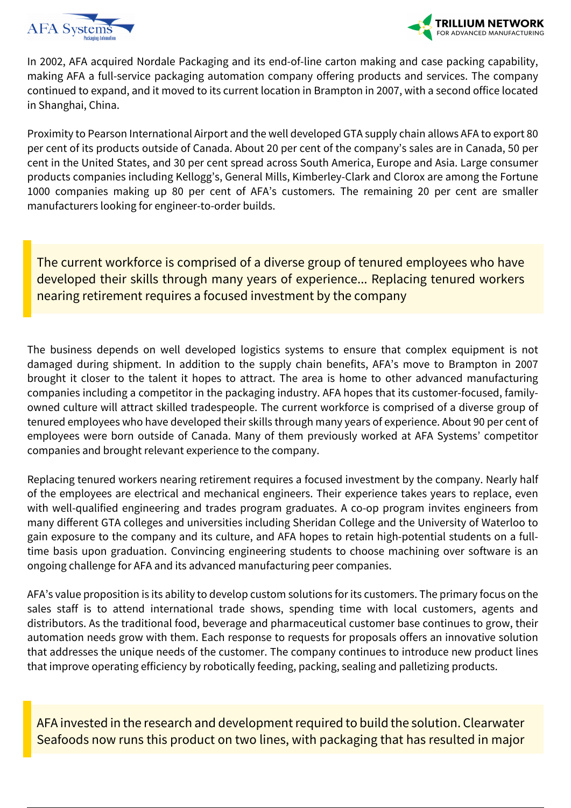



In 2002, AFA acquired Nordale Packaging and its end-of-line carton making and case packing capability, making AFA a full-service packaging automation company offering products and services. The company continued to expand, and it moved to its current location in Brampton in 2007, with a second office located in Shanghai, China.

Proximity to Pearson International Airport and the well developed GTA supply chain allows AFA to export 80 per cent of its products outside of Canada. About 20 per cent of the company's sales are in Canada, 50 per cent in the United States, and 30 per cent spread across South America, Europe and Asia. Large consumer products companies including Kellogg's, General Mills, Kimberley-Clark and Clorox are among the Fortune 1000 companies making up 80 per cent of AFA's customers. The remaining 20 per cent are smaller manufacturers looking for engineer-to-order builds.

The current workforce is comprised of a diverse group of tenured employees who have developed their skills through many years of experience... Replacing tenured workers nearing retirement requires a focused investment by the company

The business depends on well developed logistics systems to ensure that complex equipment is not damaged during shipment. In addition to the supply chain benefits, AFA's move to Brampton in 2007 brought it closer to the talent it hopes to attract. The area is home to other advanced manufacturing companies including a competitor in the packaging industry. AFA hopes that its customer-focused, familyowned culture will attract skilled tradespeople. The current workforce is comprised of a diverse group of tenured employees who have developed their skills through many years of experience. About 90 per cent of employees were born outside of Canada. Many of them previously worked at AFA Systems' competitor companies and brought relevant experience to the company.

Replacing tenured workers nearing retirement requires a focused investment by the company. Nearly half of the employees are electrical and mechanical engineers. Their experience takes years to replace, even with well-qualified engineering and trades program graduates. A co-op program invites engineers from many different GTA colleges and universities including Sheridan College and the University of Waterloo to gain exposure to the company and its culture, and AFA hopes to retain high-potential students on a fulltime basis upon graduation. Convincing engineering students to choose machining over software is an ongoing challenge for AFA and its advanced manufacturing peer companies.

AFA's value proposition is its ability to develop custom solutions for its customers. The primary focus on the sales staff is to attend international trade shows, spending time with local customers, agents and distributors. As the traditional food, beverage and pharmaceutical customer base continues to grow, their automation needs grow with them. Each response to requests for proposals offers an innovative solution that addresses the unique needs of the customer. The company continues to introduce new product lines that improve operating efficiency by robotically feeding, packing, sealing and palletizing products.

AFA invested in the research and development required to build the solution. Clearwater Seafoods now runs this product on two lines, with packaging that has resulted in major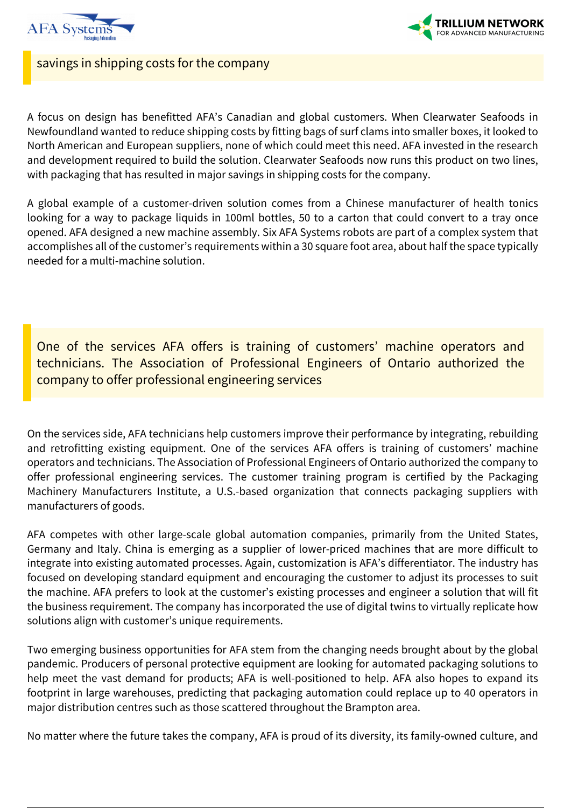



savings in shipping costs for the company

A focus on design has benefitted AFA's Canadian and global customers. When Clearwater Seafoods in Newfoundland wanted to reduce shipping costs by fitting bags of surf clams into smaller boxes, it looked to North American and European suppliers, none of which could meet this need. AFA invested in the research and development required to build the solution. Clearwater Seafoods now runs this product on two lines, with packaging that has resulted in major savings in shipping costs for the company.

A global example of a customer-driven solution comes from a Chinese manufacturer of health tonics looking for a way to package liquids in 100ml bottles, 50 to a carton that could convert to a tray once opened. AFA designed a new machine assembly. Six AFA Systems robots are part of a complex system that accomplishes all of the customer's requirements within a 30 square foot area, about half the space typically needed for a multi-machine solution.

One of the services AFA offers is training of customers' machine operators and technicians. The Association of Professional Engineers of Ontario authorized the company to offer professional engineering services

On the services side, AFA technicians help customers improve their performance by integrating, rebuilding and retrofitting existing equipment. One of the services AFA offers is training of customers' machine operators and technicians. The Association of Professional Engineers of Ontario authorized the company to offer professional engineering services. The customer training program is certified by the Packaging Machinery Manufacturers Institute, a U.S.-based organization that connects packaging suppliers with manufacturers of goods.

AFA competes with other large-scale global automation companies, primarily from the United States, Germany and Italy. China is emerging as a supplier of lower-priced machines that are more difficult to integrate into existing automated processes. Again, customization is AFA's differentiator. The industry has focused on developing standard equipment and encouraging the customer to adjust its processes to suit the machine. AFA prefers to look at the customer's existing processes and engineer a solution that will fit the business requirement. The company has incorporated the use of digital twins to virtually replicate how solutions align with customer's unique requirements.

Two emerging business opportunities for AFA stem from the changing needs brought about by the global pandemic. Producers of personal protective equipment are looking for automated packaging solutions to help meet the vast demand for products; AFA is well-positioned to help. AFA also hopes to expand its footprint in large warehouses, predicting that packaging automation could replace up to 40 operators in major distribution centres such as those scattered throughout the Brampton area.

No matter where the future takes the company, AFA is proud of its diversity, its family-owned culture, and